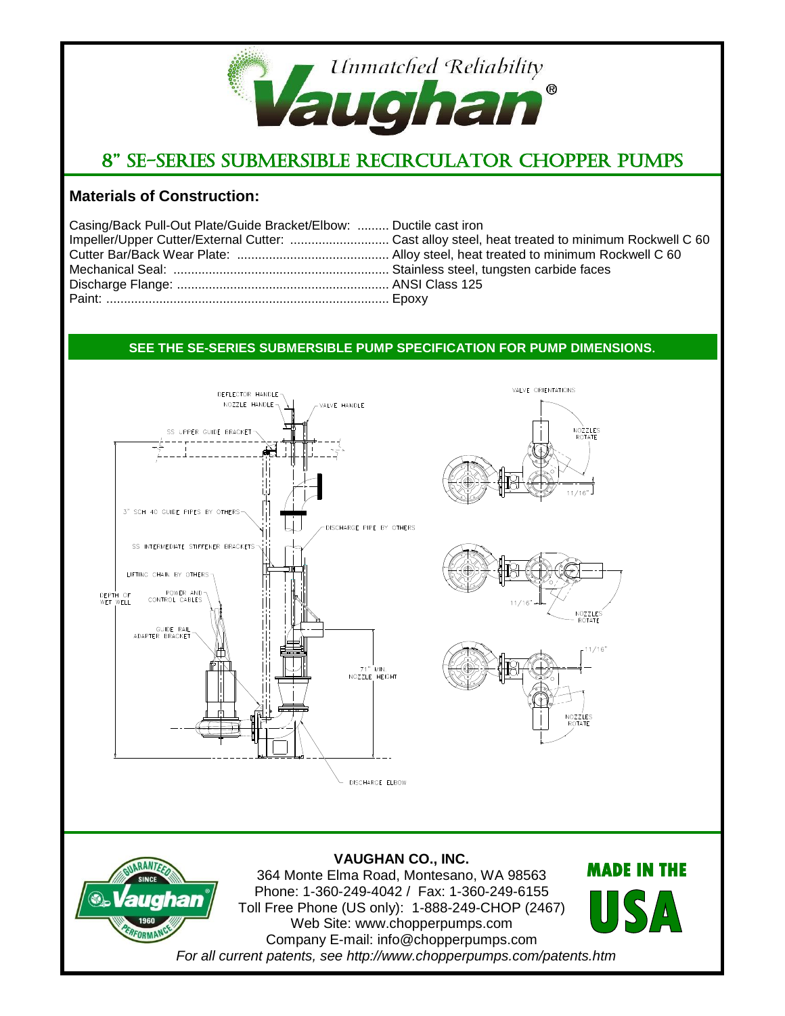

## 8" SE-Series Submersible Recirculator Chopper Pumps

## **Materials of Construction:**

| Casing/Back Pull-Out Plate/Guide Bracket/Elbow:  Ductile cast iron |  |
|--------------------------------------------------------------------|--|
|                                                                    |  |
|                                                                    |  |
|                                                                    |  |
|                                                                    |  |
|                                                                    |  |